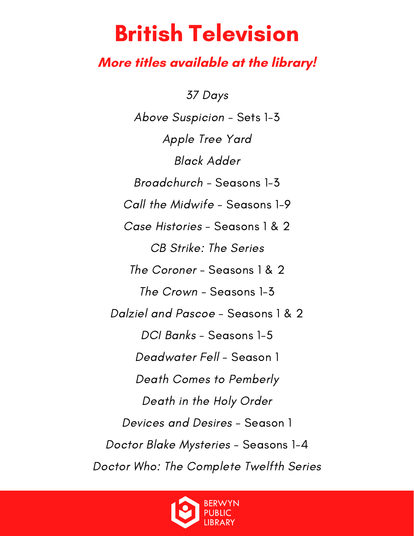#### **More titles available at the library!**

37 Days Above Suspicion - Sets 1-3 Apple Tree Yard Black Adder Broadchurch - Seasons 1-3 Call the Midwife - Seasons 1-9 Case Histories - Seasons 1 & 2 CB Strike: The Series The Coroner - Seasons 1 & 2 The Crown - Seasons 1-3 Dalziel and Pascoe - Seasons 1 & 2 DCI Banks - Seasons 1-5 Deadwater Fell - Season 1 Death Comes to Pemberly Death in the Holy Order Devices and Desires - Season 1 Doctor Blake Mysteries - Seasons 1-4 Doctor Who: The Complete Twelfth Series

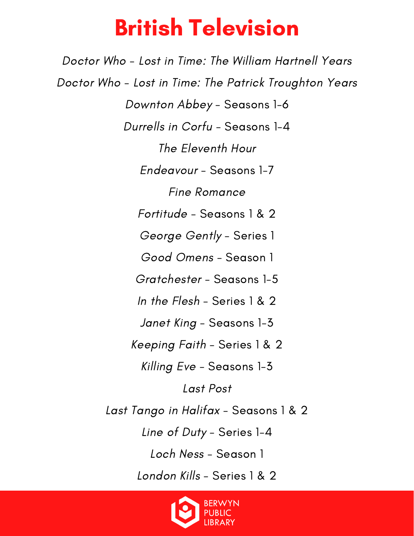Doctor Who - Lost in Time: The William Hartnell Years Doctor Who - Lost in Time: The Patrick Troughton Years Downton Abbey - Seasons 1-6 Durrells in Corfu - Seasons 1-4 The Eleventh Hour Endeavour - Seasons 1-7 Fine Romance Fortitude - Seasons 1 & 2 George Gently - Series 1 Good Omens - Season 1 Gratchester - Seasons 1-5 In the Flesh - Series 1 & 2 Janet King - Seasons 1-3 Keeping Faith - Series 1 & 2 Killing Eve - Seasons 1-3 Last Post Last Tango in Halifax - Seasons 1 & 2 Line of Duty - Series 1-4 Loch Ness - Season 1 London Kills - Series 1 & 2

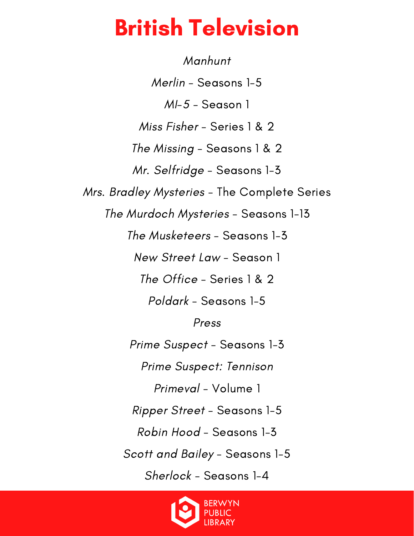Manhunt Merlin - Seasons 1-5 MI-5 - Season 1 Miss Fisher - Series 1 & 2 The Missing - Seasons 1 & 2 Mr. Selfridge - Seasons 1-3 Mrs. Bradley Mysteries - The Complete Series The Murdoch Mysteries - Seasons 1-13 The Musketeers - Seasons 1-3 New Street Law - Season 1 The Office - Series 1 & 2 Poldark - Seasons 1-5 Press Prime Suspect - Seasons 1-3 Prime Suspect: Tennison Primeval - Volume 1 Ripper Street - Seasons 1-5 Robin Hood - Seasons 1-3 Scott and Bailey - Seasons 1-5 Sherlock - Seasons 1-4